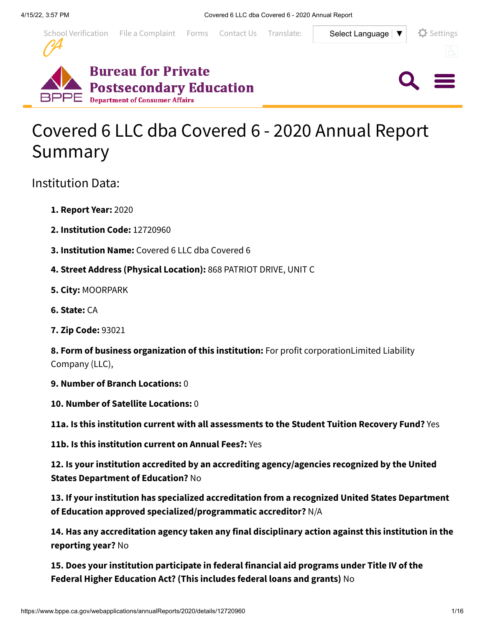

 $Q \equiv$ 



# Covered 6 LLC dba Covered 6 - 2020 Annual Report Summary

# Institution Data:

- **1. Report Year:** 2020
- **2. Institution Code:** 12720960
- **3. Institution Name:** Covered 6 LLC dba Covered 6
- **4. Street Address (Physical Location):** 868 PATRIOT DRIVE, UNIT C
- **5. City:** MOORPARK
- **6. State:** CA
- **7. Zip Code:** 93021

**8. Form of business organization of this institution:** For profit corporationLimited Liability Company (LLC),

- **9. Number of Branch Locations:** 0
- **10. Number of Satellite Locations:** 0

**11a. Is this institution current with all assessments to the Student Tuition Recovery Fund?** Yes

**11b. Is this institution current on Annual Fees?:** Yes

**12. Is your institution accredited by an accrediting agency/agencies recognized by the United States Department of Education?** No

**13. If your institution has specialized accreditation from a recognized United States Department of Education approved specialized/programmatic accreditor?** N/A

**14. Has any accreditation agency taken any final disciplinary action against this institution in the reporting year?** No

**15. Does your institution participate in federal financial aid programs under Title IV of the Federal Higher Education Act? (This includes federal loans and grants)** No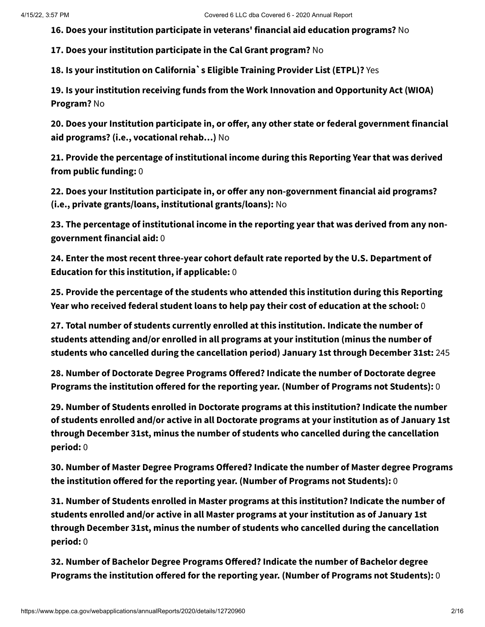**16. Does your institution participate in veterans' financial aid education programs?** No

**17. Does your institution participate in the Cal Grant program?** No

**18. Is your institution on California`s Eligible Training Provider List (ETPL)?** Yes

**19. Is your institution receiving funds from the Work Innovation and Opportunity Act (WIOA) Program?** No

**20. Does your Institution participate in, or offer, any other state or federal government financial aid programs? (i.e., vocational rehab…)** No

**21. Provide the percentage of institutional income during this Reporting Year that was derived from public funding:** 0

**22. Does your Institution participate in, or offer any non-government financial aid programs? (i.e., private grants/loans, institutional grants/loans):** No

**23. The percentage of institutional income in the reporting year that was derived from any nongovernment financial aid:** 0

**24. Enter the most recent three-year cohort default rate reported by the U.S. Department of Education for this institution, if applicable:** 0

**25. Provide the percentage of the students who attended this institution during this Reporting Year who received federal student loans to help pay their cost of education at the school:** 0

**27. Total number of students currently enrolled at this institution. Indicate the number of students attending and/or enrolled in all programs at your institution (minus the number of students who cancelled during the cancellation period) January 1st through December 31st:** 245

**28. Number of Doctorate Degree Programs Offered? Indicate the number of Doctorate degree Programs the institution offered for the reporting year. (Number of Programs not Students):** 0

**29. Number of Students enrolled in Doctorate programs at this institution? Indicate the number of students enrolled and/or active in all Doctorate programs at your institution as of January 1st through December 31st, minus the number of students who cancelled during the cancellation period:** 0

**30. Number of Master Degree Programs Offered? Indicate the number of Master degree Programs the institution offered for the reporting year. (Number of Programs not Students):** 0

**31. Number of Students enrolled in Master programs at this institution? Indicate the number of students enrolled and/or active in all Master programs at your institution as of January 1st through December 31st, minus the number of students who cancelled during the cancellation period:** 0

**32. Number of Bachelor Degree Programs Offered? Indicate the number of Bachelor degree Programs the institution offered for the reporting year. (Number of Programs not Students):** 0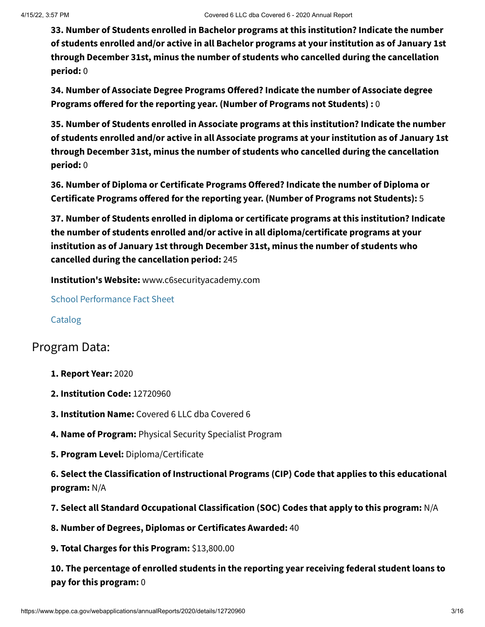**33. Number of Students enrolled in Bachelor programs at this institution? Indicate the number of students enrolled and/or active in all Bachelor programs at your institution as of January 1st through December 31st, minus the number of students who cancelled during the cancellation period:** 0

**34. Number of Associate Degree Programs Offered? Indicate the number of Associate degree Programs offered for the reporting year. (Number of Programs not Students) :** 0

**35. Number of Students enrolled in Associate programs at this institution? Indicate the number of students enrolled and/or active in all Associate programs at your institution as of January 1st through December 31st, minus the number of students who cancelled during the cancellation period:** 0

**36. Number of Diploma or Certificate Programs Offered? Indicate the number of Diploma or Certificate Programs offered for the reporting year. (Number of Programs not Students):** 5

**37. Number of Students enrolled in diploma or certificate programs at this institution? Indicate the number of students enrolled and/or active in all diploma/certificate programs at your institution as of January 1st through December 31st, minus the number of students who cancelled during the cancellation period:** 245

**Institution's Website:** www.c6securityacademy.com

School [Performance](https://www.bppe.ca.gov/webapplications/annualReports/2020/document/19DF0807-1C17-471E-9DB5-AF09BA26AE94) Fact Sheet

[Catalog](https://www.bppe.ca.gov/webapplications/annualReports/2020/document/7F2E14B0-B73A-4656-B60E-F2609161EB2C)

## Program Data:

- **1. Report Year:** 2020
- **2. Institution Code:** 12720960
- **3. Institution Name:** Covered 6 LLC dba Covered 6
- **4. Name of Program:** Physical Security Specialist Program
- **5. Program Level:** Diploma/Certificate

**6. Select the Classification of Instructional Programs (CIP) Code that applies to this educational program:** N/A

**7. Select all Standard Occupational Classification (SOC) Codes that apply to this program:** N/A

**8. Number of Degrees, Diplomas or Certificates Awarded:** 40

**9. Total Charges for this Program:** \$13,800.00

**10. The percentage of enrolled students in the reporting year receiving federal student loans to pay for this program:** 0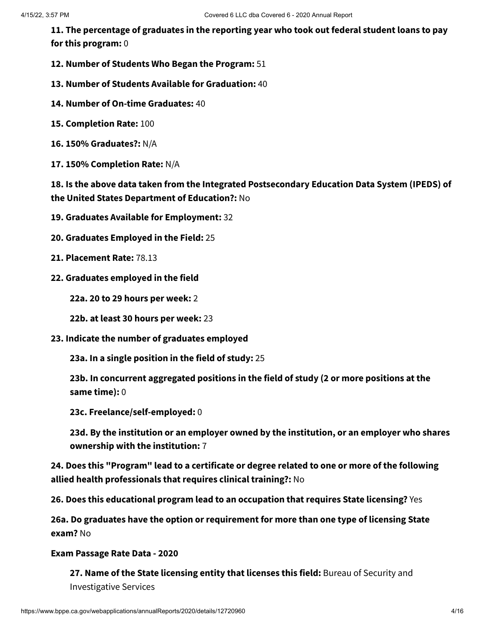**11. The percentage of graduates in the reporting year who took out federal student loans to pay for this program:** 0

- **12. Number of Students Who Began the Program:** 51
- **13. Number of Students Available for Graduation:** 40
- **14. Number of On-time Graduates:** 40
- **15. Completion Rate:** 100
- **16. 150% Graduates?:** N/A
- **17. 150% Completion Rate:** N/A

**18. Is the above data taken from the Integrated Postsecondary Education Data System (IPEDS) of the United States Department of Education?:** No

- **19. Graduates Available for Employment:** 32
- **20. Graduates Employed in the Field:** 25
- **21. Placement Rate:** 78.13
- **22. Graduates employed in the field**

**22a. 20 to 29 hours per week:** 2

- **22b. at least 30 hours per week:** 23
- **23. Indicate the number of graduates employed**

**23a. In a single position in the field of study:** 25

**23b. In concurrent aggregated positions in the field of study (2 or more positions at the same time):** 0

**23c. Freelance/self-employed:** 0

**23d. By the institution or an employer owned by the institution, or an employer who shares ownership with the institution:** 7

**24. Does this "Program" lead to a certificate or degree related to one or more of the following allied health professionals that requires clinical training?:** No

**26. Does this educational program lead to an occupation that requires State licensing?** Yes

**26a. Do graduates have the option or requirement for more than one type of licensing State exam?** No

#### **Exam Passage Rate Data - 2020**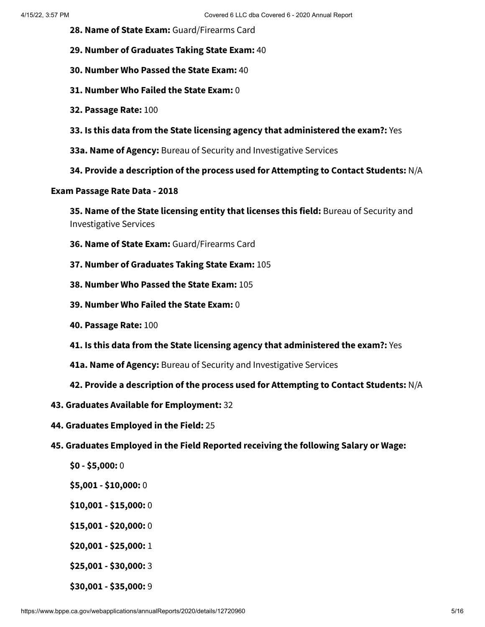- **28. Name of State Exam:** Guard/Firearms Card
- **29. Number of Graduates Taking State Exam:** 40
- **30. Number Who Passed the State Exam:** 40
- **31. Number Who Failed the State Exam:** 0
- **32. Passage Rate:** 100
- **33. Is this data from the State licensing agency that administered the exam?:** Yes
- **33a. Name of Agency:** Bureau of Security and Investigative Services
- **34. Provide a description of the process used for Attempting to Contact Students:** N/A

#### **Exam Passage Rate Data - 2018**

- **36. Name of State Exam:** Guard/Firearms Card
- **37. Number of Graduates Taking State Exam:** 105
- **38. Number Who Passed the State Exam:** 105
- **39. Number Who Failed the State Exam:** 0
- **40. Passage Rate:** 100
- **41. Is this data from the State licensing agency that administered the exam?:** Yes
- **41a. Name of Agency:** Bureau of Security and Investigative Services
- **42. Provide a description of the process used for Attempting to Contact Students:** N/A
- **43. Graduates Available for Employment:** 32
- **44. Graduates Employed in the Field:** 25
- **45. Graduates Employed in the Field Reported receiving the following Salary or Wage:**
	- **\$0 - \$5,000:** 0
	- **\$5,001 - \$10,000:** 0
	- **\$10,001 - \$15,000:** 0
	- **\$15,001 - \$20,000:** 0
	- **\$20,001 - \$25,000:** 1
	- **\$25,001 - \$30,000:** 3
	- **\$30,001 - \$35,000:** 9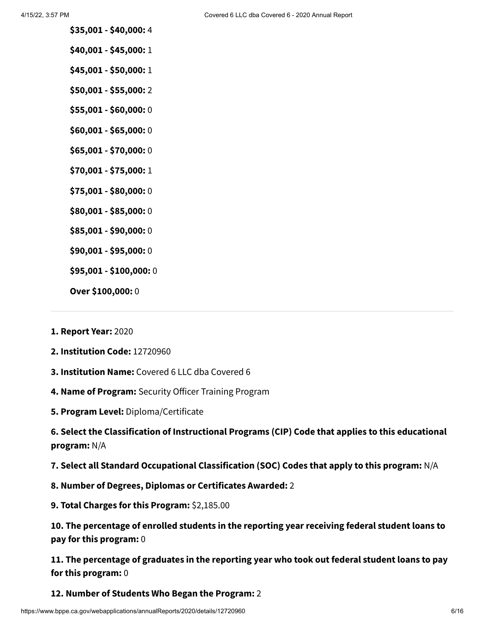- **\$35,001 - \$40,000:** 4
- **\$40,001 - \$45,000:** 1
- **\$45,001 - \$50,000:** 1
- **\$50,001 - \$55,000:** 2
- **\$55,001 - \$60,000:** 0
- **\$60,001 - \$65,000:** 0
- **\$65,001 - \$70,000:** 0
- **\$70,001 - \$75,000:** 1
- **\$75,001 - \$80,000:** 0
- **\$80,001 - \$85,000:** 0
- **\$85,001 - \$90,000:** 0
- **\$90,001 - \$95,000:** 0
- **\$95,001 - \$100,000:** 0
- **Over \$100,000:** 0
- **1. Report Year:** 2020
- **2. Institution Code:** 12720960
- **3. Institution Name:** Covered 6 LLC dba Covered 6
- **4. Name of Program:** Security Officer Training Program
- **5. Program Level:** Diploma/Certificate

### **6. Select the Classification of Instructional Programs (CIP) Code that applies to this educational program:** N/A

- **7. Select all Standard Occupational Classification (SOC) Codes that apply to this program:** N/A
- **8. Number of Degrees, Diplomas or Certificates Awarded:** 2
- **9. Total Charges for this Program:** \$2,185.00

| 10. The percentage of enrolled students in the reporting year receiving federal student loans to |  |
|--------------------------------------------------------------------------------------------------|--|
| pay for this program: $0$                                                                        |  |

**11. The percentage of graduates in the reporting year who took out federal student loans to pay for this program:** 0

**12. Number of Students Who Began the Program:** 2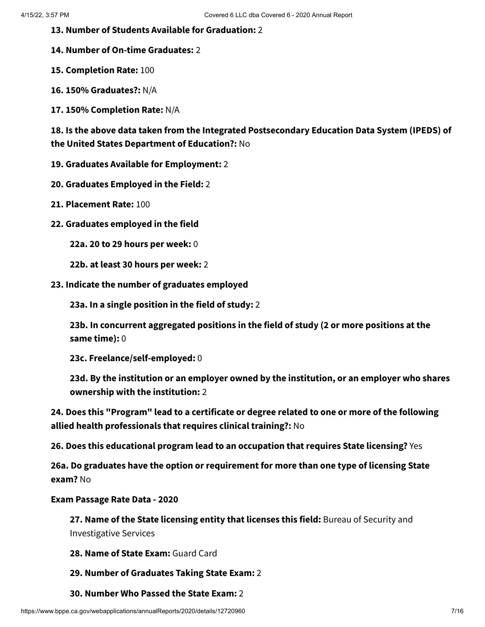- **13. Number of Students Available for Graduation:** 2
- **14. Number of On-time Graduates:** 2
- **15. Completion Rate:** 100
- **16. 150% Graduates?:** N/A
- **17. 150% Completion Rate:** N/A

**18. Is the above data taken from the Integrated Postsecondary Education Data System (IPEDS) of the United States Department of Education?:** No

- **19. Graduates Available for Employment:** 2
- **20. Graduates Employed in the Field:** 2
- **21. Placement Rate:** 100
- **22. Graduates employed in the field**

**22a. 20 to 29 hours per week:** 0

**22b. at least 30 hours per week:** 2

#### **23. Indicate the number of graduates employed**

**23a. In a single position in the field of study:** 2

**23b. In concurrent aggregated positions in the field of study (2 or more positions at the same time):** 0

**23c. Freelance/self-employed:** 0

**23d. By the institution or an employer owned by the institution, or an employer who shares ownership with the institution:** 2

**24. Does this "Program" lead to a certificate or degree related to one or more of the following allied health professionals that requires clinical training?:** No

**26. Does this educational program lead to an occupation that requires State licensing?** Yes

**26a. Do graduates have the option or requirement for more than one type of licensing State exam?** No

#### **Exam Passage Rate Data - 2020**

- **28. Name of State Exam:** Guard Card
- **29. Number of Graduates Taking State Exam:** 2
- **30. Number Who Passed the State Exam:** 2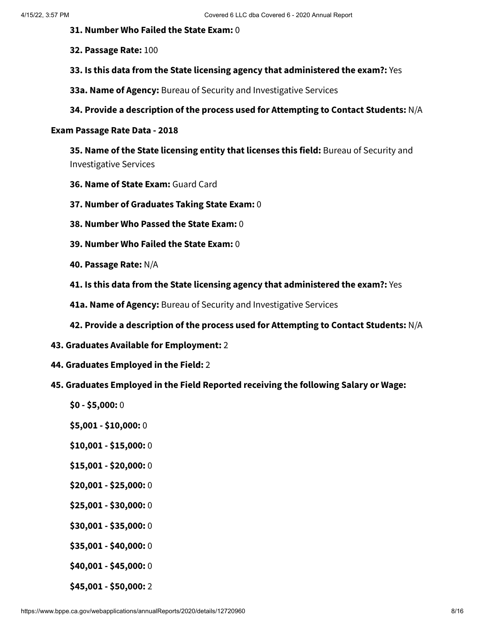- **31. Number Who Failed the State Exam:** 0
- **32. Passage Rate:** 100
- **33. Is this data from the State licensing agency that administered the exam?:** Yes
- **33a. Name of Agency:** Bureau of Security and Investigative Services
- **34. Provide a description of the process used for Attempting to Contact Students:** N/A

#### **Exam Passage Rate Data - 2018**

- **36. Name of State Exam:** Guard Card
- **37. Number of Graduates Taking State Exam:** 0
- **38. Number Who Passed the State Exam:** 0
- **39. Number Who Failed the State Exam:** 0
- **40. Passage Rate:** N/A
- **41. Is this data from the State licensing agency that administered the exam?:** Yes
- **41a. Name of Agency:** Bureau of Security and Investigative Services
- **42. Provide a description of the process used for Attempting to Contact Students:** N/A
- **43. Graduates Available for Employment:** 2
- **44. Graduates Employed in the Field:** 2
- **45. Graduates Employed in the Field Reported receiving the following Salary or Wage:**
	- **\$0 - \$5,000:** 0
	- **\$5,001 - \$10,000:** 0
	- **\$10,001 - \$15,000:** 0
	- **\$15,001 - \$20,000:** 0
	- **\$20,001 - \$25,000:** 0
	- **\$25,001 - \$30,000:** 0
	- **\$30,001 - \$35,000:** 0
	- **\$35,001 - \$40,000:** 0
	- **\$40,001 - \$45,000:** 0
	- **\$45,001 - \$50,000:** 2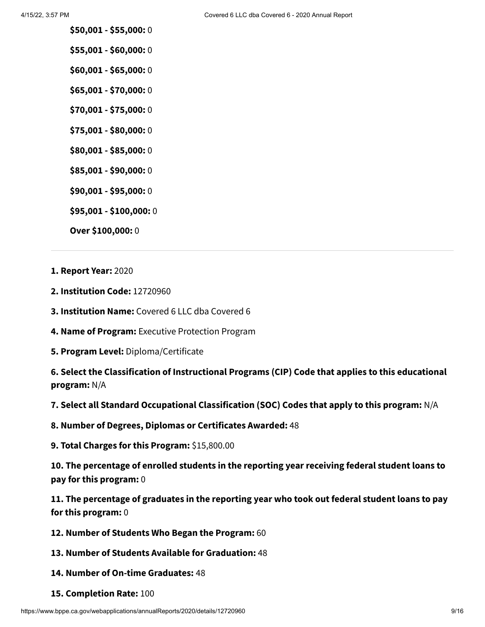- **\$50,001 - \$55,000:** 0
- **\$55,001 - \$60,000:** 0
- **\$60,001 - \$65,000:** 0
- **\$65,001 - \$70,000:** 0
- **\$70,001 - \$75,000:** 0
- **\$75,001 - \$80,000:** 0
- **\$80,001 - \$85,000:** 0
- **\$85,001 - \$90,000:** 0
- **\$90,001 - \$95,000:** 0
- **\$95,001 - \$100,000:** 0
- **Over \$100,000:** 0

#### **1. Report Year:** 2020

- **2. Institution Code:** 12720960
- **3. Institution Name:** Covered 6 LLC dba Covered 6
- **4. Name of Program:** Executive Protection Program
- **5. Program Level:** Diploma/Certificate

**6. Select the Classification of Instructional Programs (CIP) Code that applies to this educational program:** N/A

**7. Select all Standard Occupational Classification (SOC) Codes that apply to this program:** N/A

**8. Number of Degrees, Diplomas or Certificates Awarded:** 48

**9. Total Charges for this Program:** \$15,800.00

**10. The percentage of enrolled students in the reporting year receiving federal student loans to pay for this program:** 0

**11. The percentage of graduates in the reporting year who took out federal student loans to pay for this program:** 0

- **12. Number of Students Who Began the Program:** 60
- **13. Number of Students Available for Graduation:** 48
- **14. Number of On-time Graduates:** 48
- **15. Completion Rate:** 100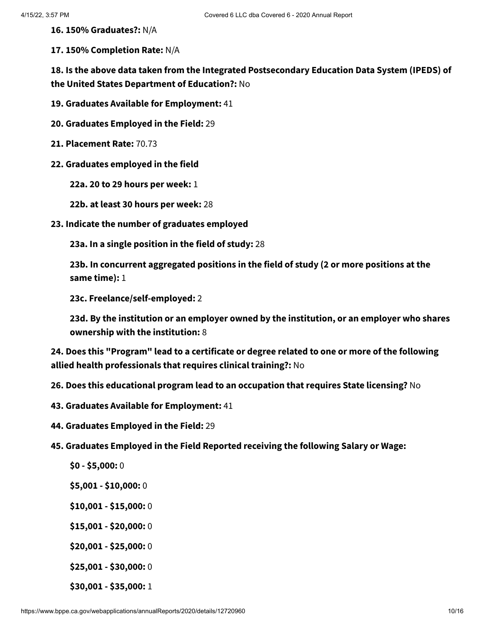**16. 150% Graduates?:** N/A

**17. 150% Completion Rate:** N/A

**18. Is the above data taken from the Integrated Postsecondary Education Data System (IPEDS) of the United States Department of Education?:** No

- **19. Graduates Available for Employment:** 41
- **20. Graduates Employed in the Field:** 29
- **21. Placement Rate:** 70.73
- **22. Graduates employed in the field**
	- **22a. 20 to 29 hours per week:** 1
	- **22b. at least 30 hours per week:** 28
- **23. Indicate the number of graduates employed**

**23a. In a single position in the field of study:** 28

**23b. In concurrent aggregated positions in the field of study (2 or more positions at the same time):** 1

**23c. Freelance/self-employed:** 2

**23d. By the institution or an employer owned by the institution, or an employer who shares ownership with the institution:** 8

**24. Does this "Program" lead to a certificate or degree related to one or more of the following allied health professionals that requires clinical training?:** No

- **26. Does this educational program lead to an occupation that requires State licensing?** No
- **43. Graduates Available for Employment:** 41
- **44. Graduates Employed in the Field:** 29
- **45. Graduates Employed in the Field Reported receiving the following Salary or Wage:**
	- **\$0 - \$5,000:** 0 **\$5,001 - \$10,000:** 0 **\$10,001 - \$15,000:** 0
	- **\$15,001 - \$20,000:** 0
	- **\$20,001 - \$25,000:** 0
	- **\$25,001 - \$30,000:** 0
	- **\$30,001 - \$35,000:** 1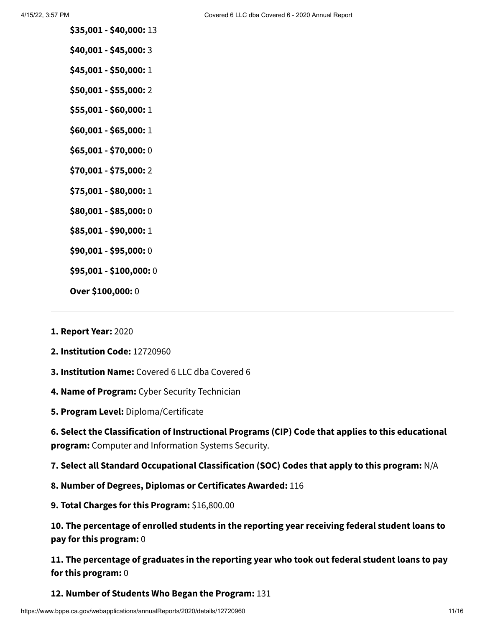- **\$35,001 - \$40,000:** 13
- **\$40,001 - \$45,000:** 3
- **\$45,001 - \$50,000:** 1
- **\$50,001 - \$55,000:** 2
- **\$55,001 - \$60,000:** 1
- **\$60,001 - \$65,000:** 1
- **\$65,001 - \$70,000:** 0
- **\$70,001 - \$75,000:** 2
- **\$75,001 - \$80,000:** 1
- **\$80,001 - \$85,000:** 0
- **\$85,001 - \$90,000:** 1
- **\$90,001 - \$95,000:** 0
- **\$95,001 - \$100,000:** 0
- **Over \$100,000:** 0
- **1. Report Year:** 2020
- **2. Institution Code:** 12720960
- **3. Institution Name:** Covered 6 LLC dba Covered 6
- **4. Name of Program:** Cyber Security Technician
- **5. Program Level:** Diploma/Certificate

**6. Select the Classification of Instructional Programs (CIP) Code that applies to this educational program:** Computer and Information Systems Security.

**7. Select all Standard Occupational Classification (SOC) Codes that apply to this program:** N/A

- **8. Number of Degrees, Diplomas or Certificates Awarded:** 116
- **9. Total Charges for this Program:** \$16,800.00

**10. The percentage of enrolled students in the reporting year receiving federal student loans to pay for this program:** 0

**11. The percentage of graduates in the reporting year who took out federal student loans to pay for this program:** 0

**12. Number of Students Who Began the Program:** 131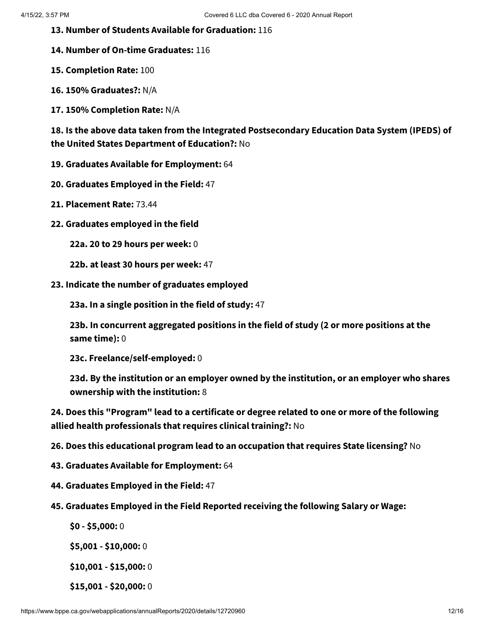- **13. Number of Students Available for Graduation:** 116
- **14. Number of On-time Graduates:** 116
- **15. Completion Rate:** 100
- **16. 150% Graduates?:** N/A
- **17. 150% Completion Rate:** N/A

**18. Is the above data taken from the Integrated Postsecondary Education Data System (IPEDS) of the United States Department of Education?:** No

- **19. Graduates Available for Employment:** 64
- **20. Graduates Employed in the Field:** 47
- **21. Placement Rate:** 73.44
- **22. Graduates employed in the field**

**22a. 20 to 29 hours per week:** 0

**22b. at least 30 hours per week:** 47

**23. Indicate the number of graduates employed**

**23a. In a single position in the field of study:** 47

**23b. In concurrent aggregated positions in the field of study (2 or more positions at the same time):** 0

**23c. Freelance/self-employed:** 0

**23d. By the institution or an employer owned by the institution, or an employer who shares ownership with the institution:** 8

**24. Does this "Program" lead to a certificate or degree related to one or more of the following allied health professionals that requires clinical training?:** No

**26. Does this educational program lead to an occupation that requires State licensing?** No

- **43. Graduates Available for Employment:** 64
- **44. Graduates Employed in the Field:** 47
- **45. Graduates Employed in the Field Reported receiving the following Salary or Wage:**
	- **\$0 - \$5,000:** 0

**\$5,001 - \$10,000:** 0

- **\$10,001 - \$15,000:** 0
- **\$15,001 - \$20,000:** 0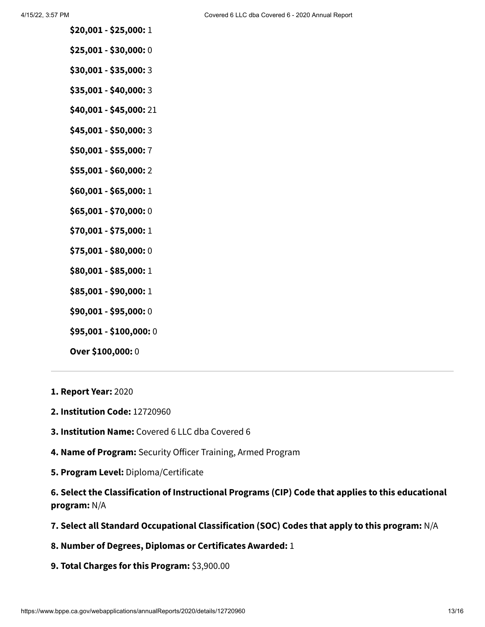- **\$20,001 - \$25,000:** 1
- **\$25,001 - \$30,000:** 0
- **\$30,001 - \$35,000:** 3
- **\$35,001 - \$40,000:** 3
- **\$40,001 - \$45,000:** 21
- **\$45,001 - \$50,000:** 3
- **\$50,001 - \$55,000:** 7
- **\$55,001 - \$60,000:** 2
- **\$60,001 - \$65,000:** 1
- **\$65,001 - \$70,000:** 0
- **\$70,001 - \$75,000:** 1
- **\$75,001 - \$80,000:** 0
- **\$80,001 - \$85,000:** 1
- **\$85,001 - \$90,000:** 1
- **\$90,001 - \$95,000:** 0
- **\$95,001 - \$100,000:** 0
- **Over \$100,000:** 0
- **1. Report Year:** 2020
- **2. Institution Code:** 12720960
- **3. Institution Name:** Covered 6 LLC dba Covered 6
- **4. Name of Program:** Security Officer Training, Armed Program
- **5. Program Level:** Diploma/Certificate

**6. Select the Classification of Instructional Programs (CIP) Code that applies to this educational program:** N/A

- **7. Select all Standard Occupational Classification (SOC) Codes that apply to this program:** N/A
- **8. Number of Degrees, Diplomas or Certificates Awarded:** 1
- **9. Total Charges for this Program:** \$3,900.00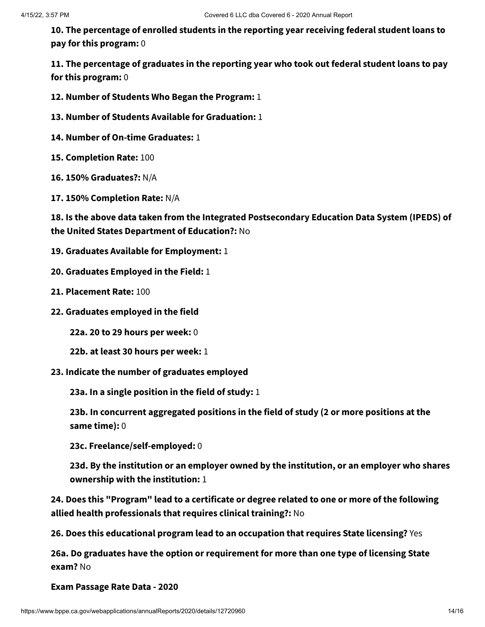**10. The percentage of enrolled students in the reporting year receiving federal student loans to pay for this program:** 0

**11. The percentage of graduates in the reporting year who took out federal student loans to pay for this program:** 0

**12. Number of Students Who Began the Program:** 1

**13. Number of Students Available for Graduation:** 1

- **14. Number of On-time Graduates:** 1
- **15. Completion Rate:** 100
- **16. 150% Graduates?:** N/A
- **17. 150% Completion Rate:** N/A

**18. Is the above data taken from the Integrated Postsecondary Education Data System (IPEDS) of the United States Department of Education?:** No

- **19. Graduates Available for Employment:** 1
- **20. Graduates Employed in the Field:** 1
- **21. Placement Rate:** 100
- **22. Graduates employed in the field**

**22a. 20 to 29 hours per week:** 0

- **22b. at least 30 hours per week:** 1
- **23. Indicate the number of graduates employed**

**23a. In a single position in the field of study:** 1

**23b. In concurrent aggregated positions in the field of study (2 or more positions at the same time):** 0

**23c. Freelance/self-employed:** 0

**23d. By the institution or an employer owned by the institution, or an employer who shares ownership with the institution:** 1

**24. Does this "Program" lead to a certificate or degree related to one or more of the following allied health professionals that requires clinical training?:** No

**26. Does this educational program lead to an occupation that requires State licensing?** Yes

**26a. Do graduates have the option or requirement for more than one type of licensing State exam?** No

#### **Exam Passage Rate Data - 2020**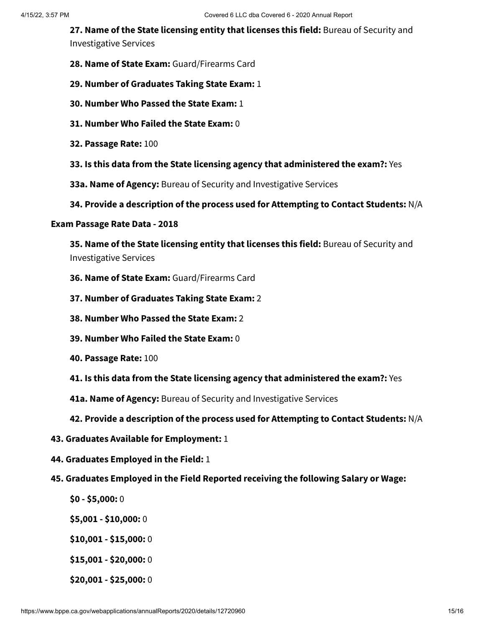**27. Name of the State licensing entity that licenses this field:** Bureau of Security and Investigative Services

- **28. Name of State Exam:** Guard/Firearms Card
- **29. Number of Graduates Taking State Exam:** 1
- **30. Number Who Passed the State Exam:** 1
- **31. Number Who Failed the State Exam:** 0
- **32. Passage Rate:** 100
- **33. Is this data from the State licensing agency that administered the exam?:** Yes
- **33a. Name of Agency:** Bureau of Security and Investigative Services
- **34. Provide a description of the process used for Attempting to Contact Students:** N/A

#### **Exam Passage Rate Data - 2018**

**35. Name of the State licensing entity that licenses this field:** Bureau of Security and Investigative Services

- **36. Name of State Exam:** Guard/Firearms Card
- **37. Number of Graduates Taking State Exam:** 2
- **38. Number Who Passed the State Exam:** 2
- **39. Number Who Failed the State Exam:** 0
- **40. Passage Rate:** 100
- **41. Is this data from the State licensing agency that administered the exam?:** Yes
- **41a. Name of Agency:** Bureau of Security and Investigative Services
- **42. Provide a description of the process used for Attempting to Contact Students:** N/A
- **43. Graduates Available for Employment:** 1
- **44. Graduates Employed in the Field:** 1
- **45. Graduates Employed in the Field Reported receiving the following Salary or Wage:**
	- **\$0 - \$5,000:** 0

**\$5,001 - \$10,000:** 0

**\$10,001 - \$15,000:** 0

**\$15,001 - \$20,000:** 0

**\$20,001 - \$25,000:** 0